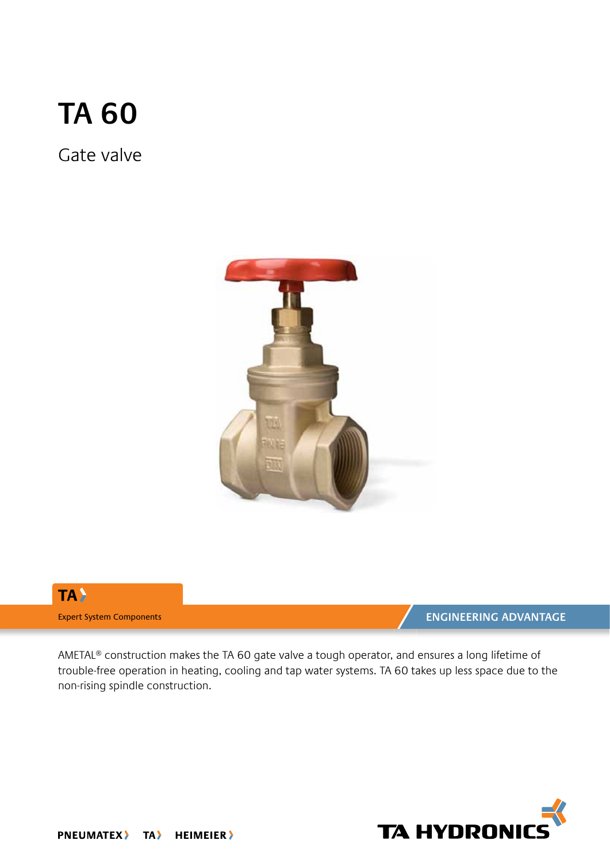# **TA 60**

Gate valve





AMETAL® construction makes the TA 60 gate valve a tough operator, and ensures a long lifetime of trouble-free operation in heating, cooling and tap water systems. TA 60 takes up less space due to the non-rising spindle construction.

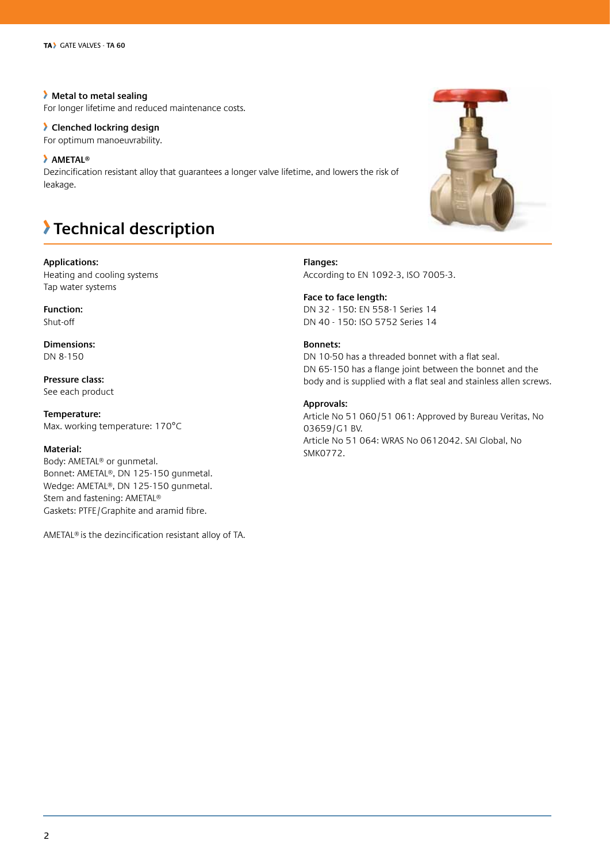**Metal to metal sealing** For longer lifetime and reduced maintenance costs.

### **Clenched lockring design**

For optimum manoeuvrability.

### **AMETAL®**

Dezincification resistant alloy that guarantees a longer valve lifetime, and lowers the risk of leakage.

## **Technical description**

**Applications:**

Heating and cooling systems Tap water systems

**Function:** Shut-off

**Dimensions:** DN 8-150

**Pressure class:** See each product

**Temperature:** Max. working temperature: 170°C

### **Material:**

Body: AMETAL® or gunmetal. Bonnet: AMETAL®, DN 125-150 gunmetal. Wedge: AMETAL®, DN 125-150 gunmetal. Stem and fastening: AMETAL® Gaskets: PTFE/Graphite and aramid fibre.

AMETAL® is the dezincification resistant alloy of TA.

**Bonnets:** DN 10-50 has a threaded bonnet with a flat seal. DN 65-150 has a flange joint between the bonnet and the body and is supplied with a flat seal and stainless allen screws. **Approvals:**

**Flanges:**

**Face to face length:**

According to EN 1092-3, ISO 7005-3.

DN 32 - 150: EN 558-1 Series 14 DN 40 - 150: ISO 5752 Series 14

Article No 51 060/51 061: Approved by Bureau Veritas, No 03659/G1 BV. Article No 51 064: WRAS No 0612042. SAI Global, No SMK0772.



#### 2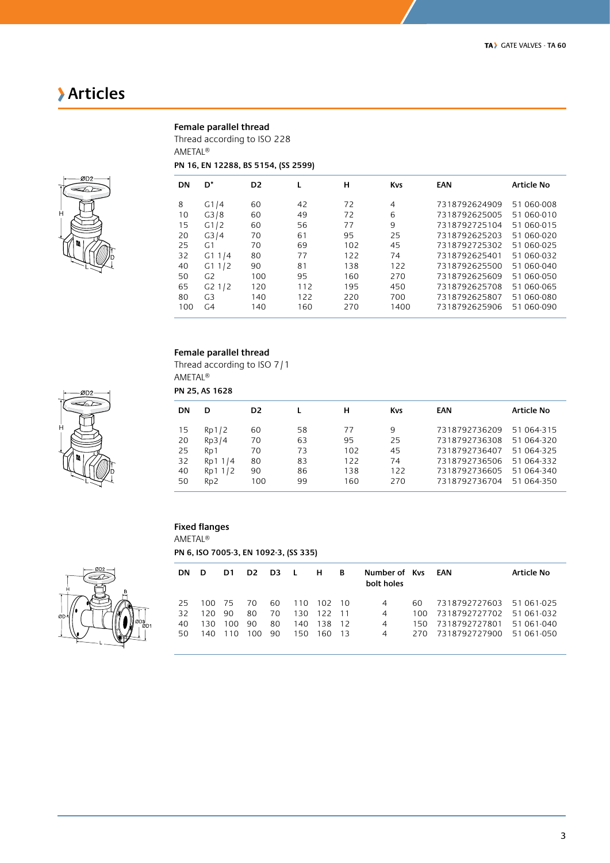## **Articles**

### **Female parallel thread**

Thread according to ISO 228 AMETAL®

### **PN 16, EN 12288, BS 5154, (SS 2599)**



| DN  | D*             | D <sub>2</sub> |     | н   | <b>Kys</b> | EAN           | <b>Article No</b> |
|-----|----------------|----------------|-----|-----|------------|---------------|-------------------|
| 8   | G1/4           | 60             | 42  | 72  | 4          | 7318792624909 | 51 060-008        |
| 10  | G3/8           | 60             | 49  | 72  | 6          | 7318792625005 | 51 060-010        |
| 15  | G1/2           | 60             | 56  | 77  | 9          | 7318792725104 | 51 060-015        |
| 20  | G3/4           | 70             | 61  | 95  | 25         | 7318792625203 | 51 060-020        |
| 25  | G <sub>1</sub> | 70             | 69  | 102 | 45         | 7318792725302 | 51 060-025        |
| 32  | G11/4          | 80             | 77  | 122 | 74         | 7318792625401 | 51 060-032        |
| 40  | G11/2          | 90             | 81  | 138 | 122        | 7318792625500 | 51 060-040        |
| 50  | G <sub>2</sub> | 100            | 95  | 160 | 270        | 7318792625609 | 51 060-050        |
| 65  | G21/2          | 120            | 112 | 195 | 450        | 7318792625708 | 51 060-065        |
| 80  | G <sub>3</sub> | 140            | 122 | 220 | 700        | 7318792625807 | 51 060-080        |
| 100 | G <sub>4</sub> | 140            | 160 | 270 | 1400       | 7318792625906 | 51 060-090        |

### **Female parallel thread**

Thread according to ISO 7/1 AMETAL®

**PN 25, AS 1628**

| DN | D                | D <sub>2</sub> |    | н   | <b>Kys</b> | EAN           | <b>Article No</b> |
|----|------------------|----------------|----|-----|------------|---------------|-------------------|
| 15 | Rp1/2            | 60             | 58 | 77  | 9          | 7318792736209 | 51 064-315        |
| 20 | Rp3/4            | 70             | 63 | 95  | 25         | 7318792736308 | 51 064-320        |
| 25 | R <sub>D</sub> 1 | 70             | 73 | 102 | 45         | 7318792736407 | 51 064-325        |
| 32 | Rp1 1/4          | 80             | 83 | 122 | 74         | 7318792736506 | 51 064-332        |
| 40 | Rp1 1/2          | 90             | 86 | 138 | 122        | 7318792736605 | 51 064-340        |
| 50 | Rp <sub>2</sub>  | 100            | 99 | 160 | 270        | 7318792736704 | 51 064-350        |

### **Fixed flanges**

AMETAL®

**PN 6, ISO 7005-3, EN 1092-3, (SS 335)**



| <b>DN</b> | D    | D1. | D <sub>2</sub> | D <sub>3</sub> L |     | н.     | В     | Number of Kys<br>bolt holes |      | EAN           | <b>Article No</b> |
|-----------|------|-----|----------------|------------------|-----|--------|-------|-----------------------------|------|---------------|-------------------|
| 25        | 100  | -75 | 70.            | 60               | 110 | 102 10 |       | 4                           | 60.  | 7318792727603 | 51 061-025        |
| 32        | 12 O | 90  | 80             | 70               | 130 | 122    | $-11$ | 4                           | 100. | 7318792727702 | 51 061-032        |
| 40        | 130  | 100 | 90             | 80               | 140 | 138    | 12    | 4                           | 150. | 7318792727801 | 51 061-040        |
| 50        | 140  | 110 | 100            | 90               | 150 | 160.   | - 13  | 4                           | 270. | 7318792727900 | 51 061-050        |